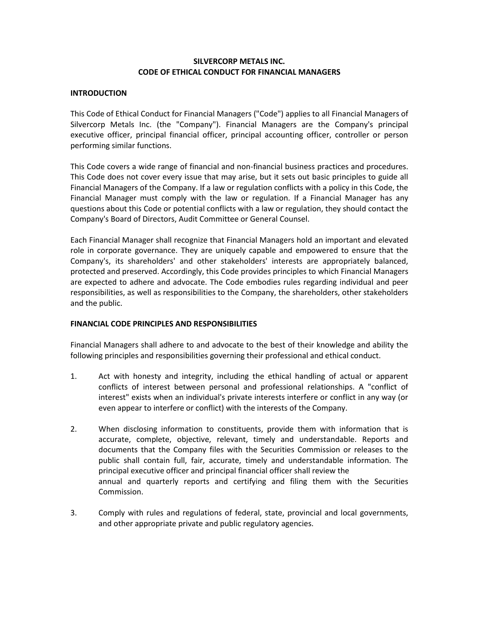## **SILVERCORP METALS INC. CODE OF ETHICAL CONDUCT FOR FINANCIAL MANAGERS**

#### **INTRODUCTION**

This Code of Ethical Conduct for Financial Managers ("Code") applies to all Financial Managers of Silvercorp Metals Inc. (the "Company"). Financial Managers are the Company's principal executive officer, principal financial officer, principal accounting officer, controller or person performing similar functions.

This Code covers a wide range of financial and non-financial business practices and procedures. This Code does not cover every issue that may arise, but it sets out basic principles to guide all Financial Managers of the Company. If a law or regulation conflicts with a policy in this Code, the Financial Manager must comply with the law or regulation. If a Financial Manager has any questions about this Code or potential conflicts with a law or regulation, they should contact the Company's Board of Directors, Audit Committee or General Counsel.

Each Financial Manager shall recognize that Financial Managers hold an important and elevated role in corporate governance. They are uniquely capable and empowered to ensure that the Company's, its shareholders' and other stakeholders' interests are appropriately balanced, protected and preserved. Accordingly, this Code provides principles to which Financial Managers are expected to adhere and advocate. The Code embodies rules regarding individual and peer responsibilities, as well as responsibilities to the Company, the shareholders, other stakeholders and the public.

## **FINANCIAL CODE PRINCIPLES AND RESPONSIBILITIES**

Financial Managers shall adhere to and advocate to the best of their knowledge and ability the following principles and responsibilities governing their professional and ethical conduct.

- 1. Act with honesty and integrity, including the ethical handling of actual or apparent conflicts of interest between personal and professional relationships. A "conflict of interest" exists when an individual's private interests interfere or conflict in any way (or even appear to interfere or conflict) with the interests of the Company.
- 2. When disclosing information to constituents, provide them with information that is accurate, complete, objective, relevant, timely and understandable. Reports and documents that the Company files with the Securities Commission or releases to the public shall contain full, fair, accurate, timely and understandable information. The principal executive officer and principal financial officer shall review the annual and quarterly reports and certifying and filing them with the Securities Commission.
- 3. Comply with rules and regulations of federal, state, provincial and local governments, and other appropriate private and public regulatory agencies.